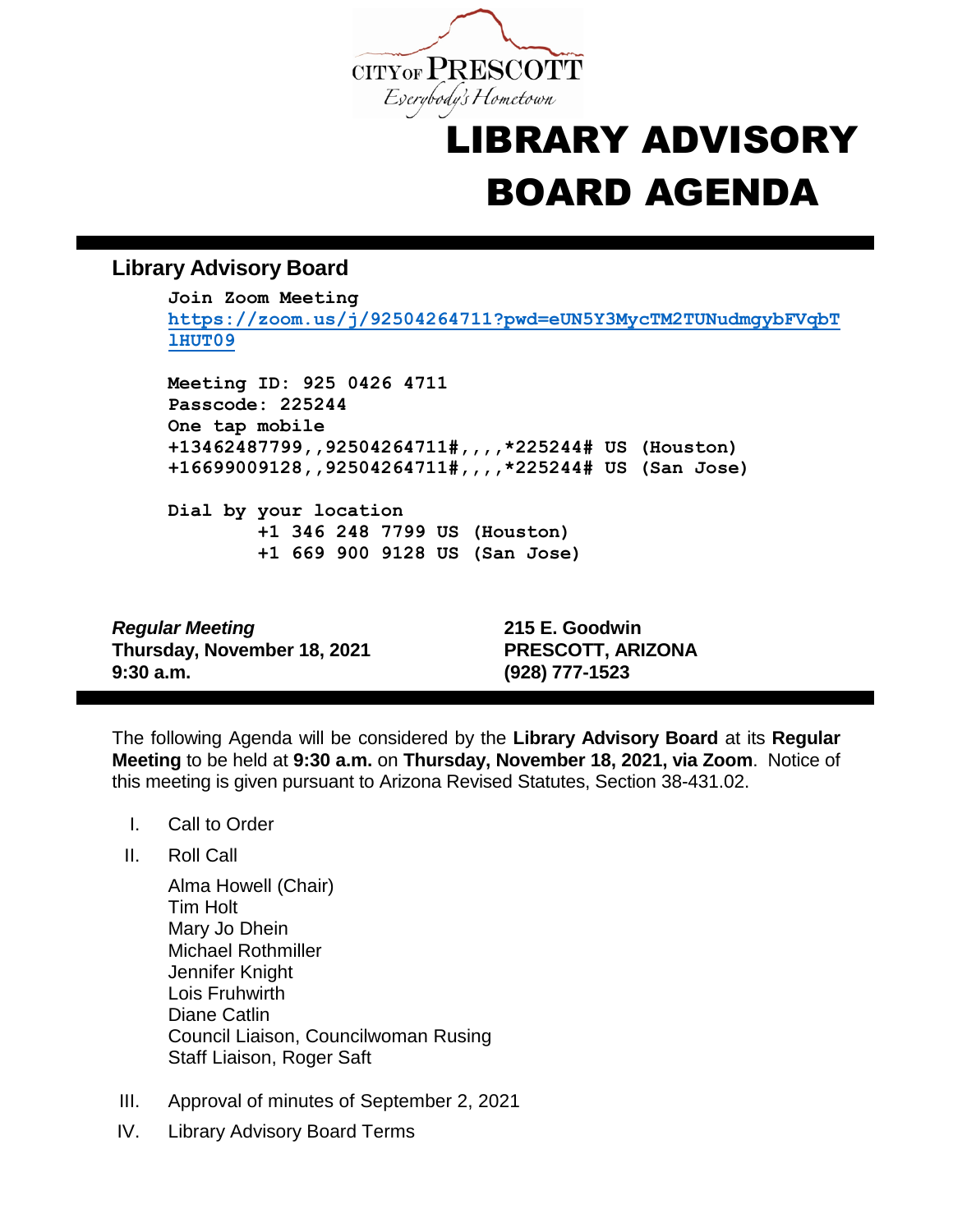

## LIBRARY ADVISORY BOARD AGENDA

## **Library Advisory Board**

**Join Zoom Meeting [https://zoom.us/j/92504264711?pwd=eUN5Y3MycTM2TUNudmgybFVqbT](https://zoom.us/j/92504264711?pwd=eUN5Y3MycTM2TUNudmgybFVqbTlHUT09) [lHUT09](https://zoom.us/j/92504264711?pwd=eUN5Y3MycTM2TUNudmgybFVqbTlHUT09) Meeting ID: 925 0426 4711 Passcode: 225244 One tap mobile +13462487799,,92504264711#,,,,\*225244# US (Houston) +16699009128,,92504264711#,,,,\*225244# US (San Jose) Dial by your location +1 346 248 7799 US (Houston) +1 669 900 9128 US (San Jose)**

*Regular Meeting* **215 E. Goodwin Thursday, November 18, 2021 PRESCOTT, ARIZONA 9:30 a.m. (928) 777-1523**

The following Agenda will be considered by the **Library Advisory Board** at its **Regular Meeting** to be held at **9:30 a.m.** on **Thursday, November 18, 2021, via Zoom**. Notice of this meeting is given pursuant to Arizona Revised Statutes, Section 38-431.02.

- I. Call to Order
- II. Roll Call
	- Alma Howell (Chair) Tim Holt Mary Jo Dhein Michael Rothmiller Jennifer Knight Lois Fruhwirth Diane Catlin Council Liaison, Councilwoman Rusing Staff Liaison, Roger Saft
- III. Approval of minutes of September 2, 2021
- IV. Library Advisory Board Terms